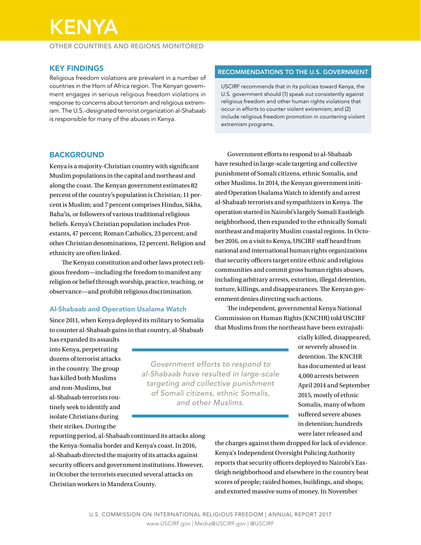# KENYA

OTHER COUNTRIES AND REGIONS MONITORED

## KEY FINDINGS

Religious freedom violations are prevalent in a number of countries in the Horn of Africa region. The Kenyan government engages in serious religious freedom violations in response to concerns about terrorism and religious extremism. The U.S.-designated terrorist organization al-Shabaab is responsible for many of the abuses in Kenya.

## **BACKGROUND**

Kenya is a majority-Christian country with significant Muslim populations in the capital and northeast and along the coast. The Kenyan government estimates 82 percent of the country's population is Christian; 11 percent is Muslim; and 7 percent comprises Hindus, Sikhs, Baha'is, or followers of various traditional religious beliefs. Kenya's Christian population includes Protestants, 47 percent; Roman Catholics, 23 percent; and other Christian denominations, 12 percent. Religion and ethnicity are often linked.

The Kenyan constitution and other laws protect religious freedom—including the freedom to manifest any religion or belief through worship, practice, teaching, or observance—and prohibit religious discrimination.

#### Al-Shabaab and Operation Usalama Watch

Since 2011, when Kenya deployed its military to Somalia to counter al-Shabaab gains in that country, al-Shabaab

has expanded its assaults into Kenya, perpetrating dozens of terrorist attacks in the country. The group has killed both Muslims and non-Muslims, but al-Shabaab terrorists routinely seek to identify and isolate Christians during their strikes. During the

*Government efforts to respond to al-Shabaab have resulted in large-scale targeting and collective punishment of Somali citizens, ethnic Somalis, and other Muslims.*

RECOMMENDATIONS TO THE U.S. GOVERNMENT

USCIRF recommends that in its policies toward Kenya, the U.S. government should (1) speak out consistently against religious freedom and other human rights violations that occur in efforts to counter violent extremism; and (2) include religious freedom promotion in countering violent extremism programs.

Government efforts to respond to al-Shabaab have resulted in large-scale targeting and collective punishment of Somali citizens, ethnic Somalis, and other Muslims. In 2014, the Kenyan government initiated Operation Usalama Watch to identify and arrest al-Shabaab terrorists and sympathizers in Kenya. The operation started in Nairobi's largely Somali Eastleigh neighborhood, then expanded to the ethnically Somali northeast and majority Muslim coastal regions. In October 2016, on a visit to Kenya, USCIRF staff heard from national and international human rights organizations that security officers target entire ethnic and religious communities and commit gross human rights abuses, including arbitrary arrests, extortion, illegal detention, torture, killings, and disappearances. The Kenyan government denies directing such actions.

The independent, governmental Kenya National Commission on Human Rights (KNCHR) told USCIRF that Muslims from the northeast have been extrajudi-

> cially killed, disappeared, or severely abused in detention. The KNCHR has documented at least 4,000 arrests between April 2014 and September 2015, mostly of ethnic Somalis, many of whom suffered severe abuses in detention; hundreds were later released and

reporting period, al-Shabaab continued its attacks along the Kenya-Somalia border and Kenya's coast. In 2016, al-Shabaab directed the majority of its attacks against security officers and government institutions. However, in October the terrorists executed several attacks on Christian workers in Mandera County.

the charges against them dropped for lack of evidence. Kenya's Independent Oversight Policing Authority reports that security officers deployed to Nairobi's Eastleigh neighborhood and elsewhere in the country beat scores of people; raided homes, buildings, and shops; and extorted massive sums of money. In November